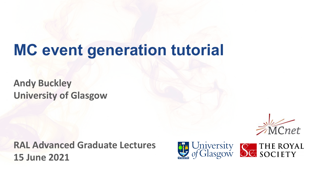# **MC event generation tutorial**

**Andy Buckley University of Glasgow**

**RAL Advanced Graduate Lectures 15 June 2021**



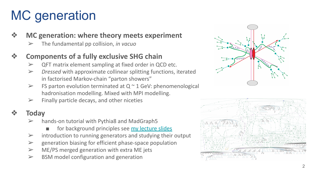# MC generation

#### ❖ **MC generation: where theory meets experiment**

➢ The fundamental pp collision, *in vacuo*

### ❖ **Components of a fully exclusive SHG chain**

- $\triangleright$  QFT matrix element sampling at fixed order in QCD etc.
- ➢ *Dressed* with approximate collinear splitting functions, iterated in factorised Markov-chain "parton showers"
- $\triangleright$  FS parton evolution terminated at Q  $\sim$  1 GeV: phenomenological hadronisation modelling. Mixed with MPI modelling.
- $\triangleright$  Finally particle decays, and other niceties

## ❖ **Today**

- hands-on tutorial with Pythia8 and MadGraph5
	- for background principles see [my lecture slides](https://indico.stfc.ac.uk/event/299/contributions/1836/attachments/606/1051/go)
- $\triangleright$  introduction to running generators and studying their output
- $\triangleright$  generation biasing for efficient phase-space population
- $\triangleright$  ME/PS merged generation with extra ME jets
- $\triangleright$  BSM model configuration and generation



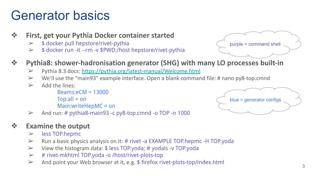# Generator basics

- ❖ **First, get your Pythia Docker container started**
	- $\geq$  \$ docker pull hepstore/rivet-pythia
	- ➢ \$ docker run -it --rm -v \$PWD:/host hepstore/rivet-pythia



### ❖ **Pythia8: shower-hadronisation generator (SHG) with many LO processes built-in**

- ➢ Pythia 8.3 docs: <https://pythia.org/latest-manual/Welcome.html>
- $\triangleright$  We'll use the "main93" example interface. Open a blank command file: # nano py8-top.cmnd
- $\geq$  Add the lines:

Beams:eCM = 13000  $T$ op:all = on Main:writeHepMC = on blue = generator configs

 $\geq$  And run: # pythia8-main93 -c py8-top.cmnd -o TOP -n 1000

### ❖ **Examine the output**

- ➢ less TOP.hepmc
- $\triangleright$  Run a basic physics analysis on it: # rivet -a EXAMPLE TOP.hepmc -H TOP.yoda
- $\triangleright$  View the histogram data:  $\frac{1}{2}$  less TOP.yoda; # yodals -v TOP.yoda
- ➢ # rivet-mkhtml TOP.yoda -o /host/rivet-plots-top
- $\triangleright$  And point your Web browser at it, e.g. \$ firefox rivet-plots-top/index.html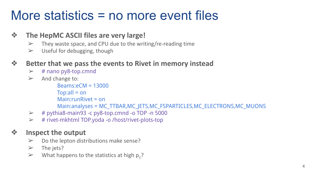# More statistics = no more event files

#### ❖ **The HepMC ASCII files are very large!**

- $\triangleright$  They waste space, and CPU due to the writing/re-reading time
- $\triangleright$  Useful for debugging, though

### ❖ **Better that we pass the events to Rivet in memory instead**

- $\triangleright$  # nano py8-top.cmnd
- $\triangleright$  And change to:

```
Beams:eCM = 13000
Top:all = on
Main:runRivet = on 
Main:analyses = MC_TTBAR,MC_JETS,MC_FSPARTICLES,MC_ELECTRONS,MC_MUONS
```
- $\geq$  # pythia8-main93 -c py8-top.cmnd -o TOP -n 5000
- $\triangleright$  # rivet-mkhtml TOP.yoda -o /host/rivet-plots-top

### ❖ **Inspect the output**

- $\triangleright$  Do the lepton distributions make sense?
- $\triangleright$  The jets?
- $\triangleright$  What happens to the statistics at high  $p_T$ ?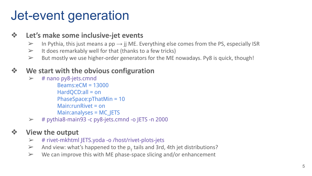# Jet-event generation

#### ❖ **Let's make some inclusive-jet events**

- $\triangleright$  In Pythia, this just means a pp  $\rightarrow$  jj ME. Everything else comes from the PS, especially ISR
- $\triangleright$  It does remarkably well for that (thanks to a few tricks)
- $\triangleright$  But mostly we use higher-order generators for the ME nowadays. Py8 is quick, though!

### ❖ **We start with the obvious configuration**

 $\triangleright$  # nano py8-jets.cmnd

Beams:eCM = 13000 HardQCD:all = on PhaseSpace:pThatMin = 10 Main:runRivet = on Main:analyses = MC\_JETS

 $\geq$  # pythia8-main93 -c py8-jets.cmnd -o JETS -n 2000

### ❖ **View the output**

- $\triangleright$  # rivet-mkhtml JETS.yoda -o /host/rivet-plots-jets
- And view: what's happened to the  $p_T$  tails and 3rd, 4th jet distributions?
- $\triangleright$  We can improve this with ME phase-space slicing and/or enhancement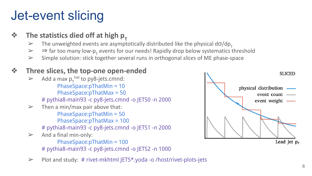# Jet-event slicing

- **❖ The statistics died off at high p**<sub>T</sub><br>
The unweighted events are asympter
	- $\geq$  The unweighted events are asymptotically distributed like the physical d $\sigma$ /dp<sub>T</sub><br> $\geq$   $\Rightarrow$  far too many low-p<sub>-</sub> events for our needs! Rapidly drop below systematics to
	- $\triangleright$   $\Rightarrow$  far too many low-p<sub>T</sub> events for our needs! Rapidly drop below systematics threshold
	- ➢ Simple solution: stick together several runs in orthogonal *slices* of ME phase-space

### ❖ **Three slices, the top-one open-ended**

- $\triangleright$  Add a max  $p_T^{\text{hat}}$  to py8-jets.cmnd: PhaseSpace:pThatMin = 10 PhaseSpace:pThatMax = 50 # pythia8-main93 -c py8-jets.cmnd -o JETS0 -n 2000  $\triangleright$  Then a min/max pair above that: PhaseSpace:pThatMin = 50 PhaseSpace:pThatMax = 100 # pythia8-main93 -c py8-jets.cmnd -o JETS1 -n 2000  $\triangleright$  And a final min-only: PhaseSpace:pThatMin = 100 # pythia8-main93 -c py8-jets.cmnd -o JETS2 -n 1000
- $\triangleright$  Plot and study: # rivet-mkhtml JETS\*.yoda -o /host/rivet-plots-jets

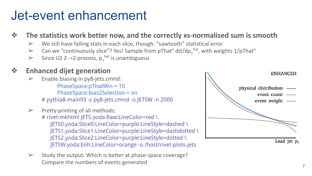# Jet-event enhancement

❖ **The statistics work better now, and the correctly xs-normalised sum is smooth**

- $\triangleright$  We still have falling stats in each slice, though: "sawtooth" statistical error
- > Can we "continuously slice"? Yes! Sample from pThat<sup>n</sup> d $\sigma$ /dp<sub>T</sub><sup>hat</sup>, with weights 1/pThat<sup>n</sup>
- > Since LO 2→2 process,  $p_T^{hat}$  is unambiguous

### ❖ **Enhanced dijet generation**

- Enable biasing in py8-jets.cmnd: PhaseSpace:pThatMin = 10 PhaseSpace:bias2Selection = on # pythia8-main93 -c py8-jets.cmnd -o JETSW -n 2000
- $\triangleright$  Pretty-printing of all methods: # rivet-mkhtml JETS.yoda:Raw:LineColor=red \ JETS0.yoda:Slice0:LineColor=purple:LineStyle=dashed \ JETS1.yoda:Slice1:LineColor=purple:LineStyle=dashdotted \ JETS2.yoda:Slice2:LineColor=purple:LineStyle=dotted \ JETSW.yoda:Enh:LineColor=orange -o /host/rivet-plots-jets
- $\triangleright$  Study the output. Which is better at phase-space coverage? Compare the numbers of events generated

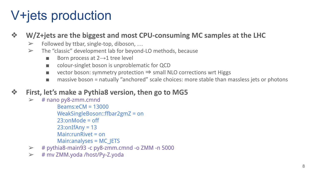# V+jets production

#### ❖ **W/Z+jets are the biggest and most CPU-consuming MC samples at the LHC**

- $\triangleright$  Followed by ttbar, single-top, diboson, ...
- $\triangleright$  The "classic" development lab for beyond-LO methods, because
	- Born process at  $2 \rightarrow 1$  tree level
	- colour-singlet boson is unproblematic for QCD
	- vector boson: symmetry protection  $\Rightarrow$  small NLO corrections wrt Higgs
	- massive boson = natually "anchored" scale choices: more stable than massless jets or photons

#### ❖ **First, let's make a Pythia8 version, then go to MG5**

- $\geq$  # nano py8-zmm.cmnd Beams:eCM = 13000 WeakSingleBoson::ffbar2gmZ = on 23:onMode = off  $23:onIf Any = 13$ Main:runRivet = on Main:analyses = MC\_JETS
- $\geq$  # pythia8-main93 -c py8-zmm.cmnd -o ZMM -n 5000
- $\triangleright$  # mv ZMM.yoda /host/Py-Z.yoda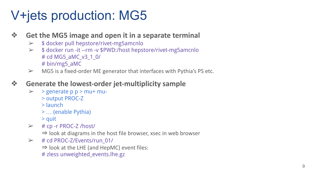# V+jets production: MG5

#### ❖ **Get the MG5 image and open it in a separate terminal**

- $\geq$  \$ docker pull hepstore/rivet-mg5amcnlo
- ➢ \$ docker run -it --rm -v \$PWD:/host hepstore/rivet-mg5amcnlo # cd MG5\_aMC\_v3\_1\_0/ # bin/mg5\_aMC
- $\triangleright$  MG5 is a fixed-order ME generator that interfaces with Pythia's PS etc.

### ❖ **Generate the lowest-order jet-multiplicity sample**

- $\triangleright$  > generate p p > mu+ mu-
	- > output PROC-Z
	- > launch
	- > … (enable Pythia)
	- > quit
- $\triangleright$  # cp -r PROC-Z /host/
	- $\Rightarrow$  look at diagrams in the host file browser, xsec in web browser
- $\triangleright$  # cd PROC-Z/Events/run\_01/
	- $\Rightarrow$  look at the LHE (and HepMC) event files:
	- # zless unweighted\_events.lhe.gz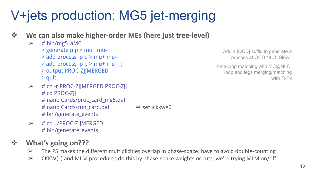# V+jets production: MG5 jet-merging

#### ❖ **We can also make higher-order MEs (here just tree-level)**

- $\geq$  # bin/mg5 aMC
	- > generate p p > mu+ mu-
	- > add process p p > mu+ mu- j
	- $>$  add process p p  $>$  mu+ mu- j j
	- > output PROC-ZJJMERGED
	- > quit
- $\triangleright$  # cp -r PROC-ZJJMERGED PROC-ZJJ # cd PROC-ZJJ # nano Cards/proc\_card\_mg5.dat # nano Cards/run\_card.dat ⇒ set ickkw=0 # bin/generate\_events

 $\geq$  # cd ../PROC-Z||MERGED # bin/generate\_events

## ❖ **What's going on???**

- $\triangleright$  The PS makes the different multiplicities overlap in phase-space: have to avoid double-counting
- $\triangleright$  CKKW(L) and MLM procedures do this by phase-space weights or cuts: we're trying MLM on/off

Add a [QCD] suffix to generate a process at QCD NLO. Slow!!

One-loop matching with MC@NLO; loop and legs merging/matching with FxFx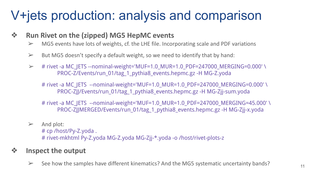# V+jets production: analysis and comparison

#### ❖ **Run Rivet on the (zipped) MG5 HepMC events**

- $\triangleright$  MG5 events have lots of weights, cf. the LHE file. Incorporating scale and PDF variations
- $\triangleright$  But MG5 doesn't specify a default weight, so we need to identify that by hand:
- $\geq$  # rivet -a MC\_JETS --nominal-weight='MUF=1.0\_MUR=1.0\_PDF=247000\_MERGING=0.000' \ PROC-Z/Events/run\_01/tag\_1\_pythia8\_events.hepmc.gz -H MG-Z.yoda

# rivet -a MC\_JETS --nominal-weight='MUF=1.0\_MUR=1.0\_PDF=247000\_MERGING=0.000'\ PROC-ZJJ/Events/run\_01/tag\_1\_pythia8\_events.hepmc.gz -H MG-Zjj-sum.yoda

- # rivet -a MC\_JETS --nominal-weight='MUF=1.0\_MUR=1.0\_PDF=247000\_MERGING=45.000'\ PROC-ZJJMERGED/Events/run\_01/tag\_1\_pythia8\_events.hepmc.gz -H MG-Zjj-x.yoda
- $\triangleright$  And plot:

# cp /host/Py-Z.yoda . # rivet-mkhtml Py-Z.yoda MG-Z.yoda MG-Zjj-\*.yoda -o /host/rivet-plots-z

### ❖ **Inspect the output**

 $\geq$  See how the samples have different kinematics? And the MG5 systematic uncertainty bands?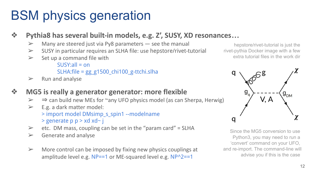# BSM physics generation

### ❖ **Pythia8 has several built-in models, e.g. Z', SUSY, XD resonances…**

- $\triangleright$  Many are steered just via Py8 parameters  $-$  see the manual
- $\triangleright$  SUSY in particular requires an SLHA file: use hepstore/rivet-tutorial
- $\triangleright$  Set up a command file with

 $SUSY:all = on$ SLHA:file = gg\_g1500\_chi100\_g-ttchi.slha

 $\triangleright$  Run and analyse

### ❖ **MG5 is really a generator generator: more flexible**

- $\triangleright$   $\Rightarrow$  can build new MEs for ~any UFO physics model (as can Sherpa, Herwig)
- $\triangleright$  E.g. a dark matter model: > import model DMsimp\_s\_spin1 --modelname > generate p p > xd xd~ j
- $\ge$  etc. DM mass, coupling can be set in the "param card" = SLHA
- $\triangleright$  Generate and analyse
- $\triangleright$  More control can be imposed by fixing new physics couplings at amplitude level e.g.  $NP==1$  or ME-squared level e.g.  $NP^2==1$

hepstore/rivet-tutorial is just the rivet-pythia Docker image with a few extra tutorial files in the work dir



Since the MG5 conversion to use Python3, you may need to run a 'convert' command on your UFO, and re-import. The command-line will advise you if this is the case